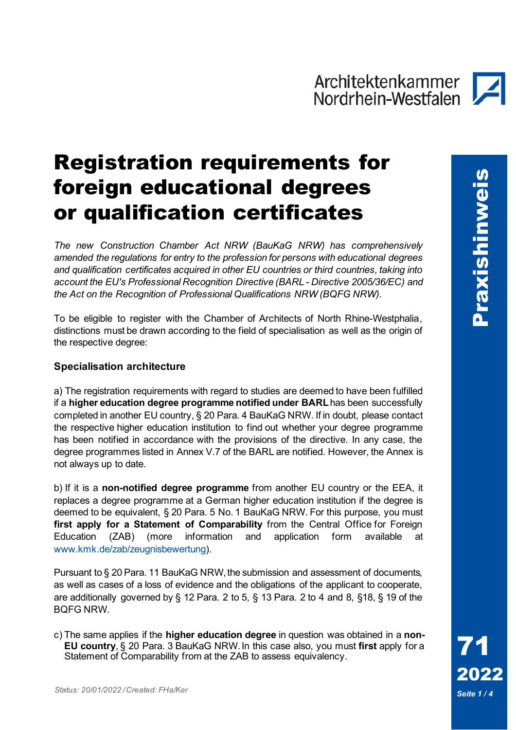### Registration requirements for foreign educational degrees or qualification certificates

*The new Construction Chamber Act NRW (BauKaG NRW) has comprehensively amended the regulations for entry to the profession for persons with educational degrees and qualification certificates acquired in other EU countries or third countries, taking into account the EU's Professional Recognition Directive (BARL - Directive 2005/36/EC) and the Act on the Recognition of Professional Qualifications NRW (BQFG NRW).*

To be eligible to register with the Chamber of Architects of North Rhine-Westphalia, distinctions must be drawn according to the field of specialisation as well as the origin of the respective degree:

#### **Specialisation architecture**

a) The registration requirements with regard to studies are deemed to have been fulfilled if a **higher education degree programme notified under BARL**has been successfully completed in another EU country, § 20 Para. 4 BauKaG NRW. If in doubt, please contact the respective higher education institution to find out whether your degree programme has been notified in accordance with the provisions of the directive. In any case, the degree programmes listed in Annex V.7 of the BARL are notified. However, the Annex is not always up to date.

b) If it is a **non-notified degree programme** from another EU country or the EEA, it replaces a degree programme at a German higher education institution if the degree is deemed to be equivalent, § 20 Para. 5 No. 1 BauKaG NRW. For this purpose, you must **first apply for a Statement of Comparability** from the Central Office for Foreign Education (ZAB) (more information and application form available at [www.kmk.de/zab/zeugnisbewertung\)](https://www.kmk.org/zab/zeugnisbewertung.html).

Pursuant to § 20 Para. 11 BauKaG NRW, the submission and assessment of documents, as well as cases of a loss of evidence and the obligations of the applicant to cooperate, are additionally governed by § 12 Para. 2 to 5, § 13 Para. 2 to 4 and 8, §18, § 19 of the BQFG NRW.

c) The same applies if the **higher education degree** in question was obtained in a **non-EU country**, § 20 Para. 3 BauKaG NRW.In this case also, you must **first** apply for a Statement of Comparability from at the ZAB to assess equivalency.

71

2022

Seite 1/4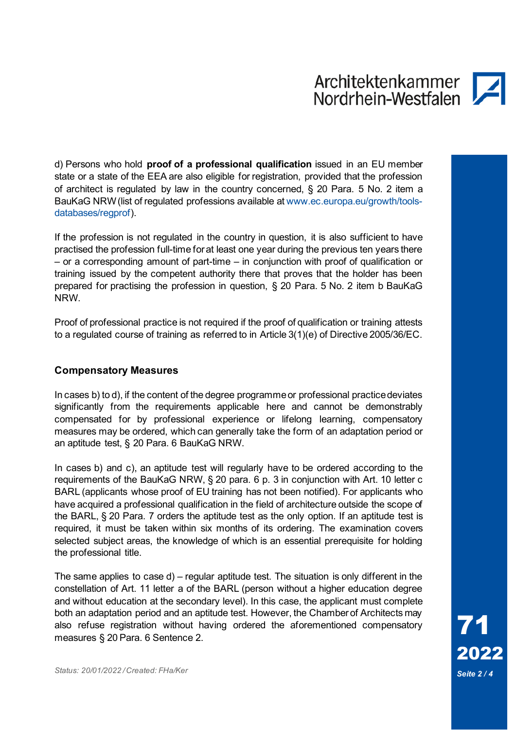d) Persons who hold **proof of a professional qualification** issued in an EU member state or a state of the EEA are also eligible for registration, provided that the profession of architect is regulated by law in the country concerned, § 20 Para. 5 No. 2 item a BauKaG NRW (list of regulated professions available at [www.ec.europa.eu/growth/tools](https://ec.europa.eu/growth/tools-databases/regprof/index.cfm?action=homepage)[databases/regprof\)](https://ec.europa.eu/growth/tools-databases/regprof/index.cfm?action=homepage).

If the profession is not regulated in the country in question, it is also sufficient to have practised the profession full-time for at least one year during the previous ten years there – or a corresponding amount of part-time – in conjunction with proof of qualification or training issued by the competent authority there that proves that the holder has been prepared for practising the profession in question, § 20 Para. 5 No. 2 item b BauKaG NRW.

Proof of professional practice is not required if the proof of qualification or training attests to a regulated course of training as referred to in Article 3(1)(e) of Directive 2005/36/EC.

#### **Compensatory Measures**

In cases b) to d), if the content of the degree programme or professional practice deviates significantly from the requirements applicable here and cannot be demonstrably compensated for by professional experience or lifelong learning, compensatory measures may be ordered, which can generally take the form of an adaptation period or an aptitude test, § 20 Para. 6 BauKaG NRW.

In cases b) and c), an aptitude test will regularly have to be ordered according to the requirements of the BauKaG NRW, § 20 para. 6 p. 3 in conjunction with Art. 10 letter c BARL (applicants whose proof of EU training has not been notified). For applicants who have acquired a professional qualification in the field of architecture outside the scope of the BARL, § 20 Para. 7 orders the aptitude test as the only option. If an aptitude test is required, it must be taken within six months of its ordering. The examination covers selected subject areas, the knowledge of which is an essential prerequisite for holding the professional title.

The same applies to case d) – regular aptitude test. The situation is only different in the constellation of Art. 11 letter a of the BARL (person without a higher education degree and without education at the secondary level). In this case, the applicant must complete both an adaptation period and an aptitude test. However, the Chamber of Architects may also refuse registration without having ordered the aforementioned compensatory measures § 20 Para. 6 Sentence 2.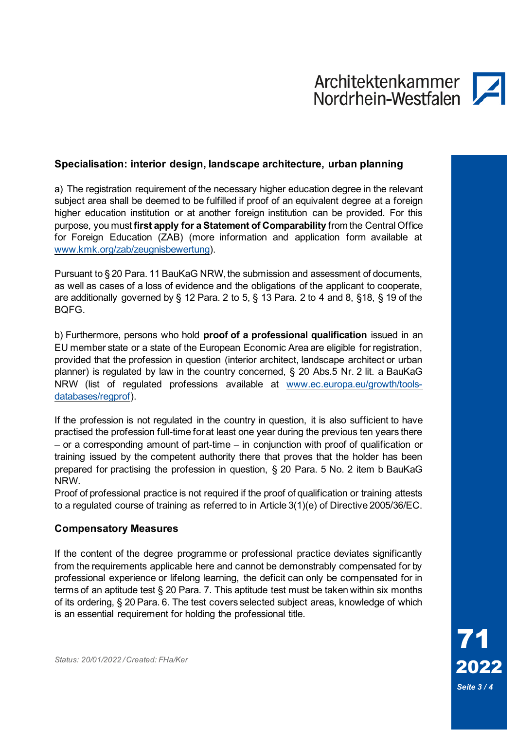#### **Specialisation: interior design, landscape architecture, urban planning**

a) The registration requirement of the necessary higher education degree in the relevant subject area shall be deemed to be fulfilled if proof of an equivalent degree at a foreign higher education institution or at another foreign institution can be provided. For this purpose, you must **first apply for a Statement of Comparability** from the Central Office for Foreign Education (ZAB) (more information and application form available at [www.kmk.org/zab/zeugnisbewertung\)](https://www.kmk.org/zab/zeugnisbewertung.html).

Pursuant to § 20 Para. 11 BauKaG NRW, the submission and assessment of documents, as well as cases of a loss of evidence and the obligations of the applicant to cooperate, are additionally governed by § 12 Para. 2 to 5, § 13 Para. 2 to 4 and 8, §18, § 19 of the BQFG.

b) Furthermore, persons who hold **proof of a professional qualification** issued in an EU member state or a state of the European Economic Area are eligible for registration, provided that the profession in question (interior architect, landscape architect or urban planner) is regulated by law in the country concerned, § 20 Abs.5 Nr. 2 lit. a BauKaG NRW (list of regulated professions available at [www.ec.europa.eu/growth/tools](https://ec.europa.eu/growth/tools-databases/regprof/index.cfm?action=homepage)[databases/regprof\)](https://ec.europa.eu/growth/tools-databases/regprof/index.cfm?action=homepage).

If the profession is not regulated in the country in question, it is also sufficient to have practised the profession full-time for at least one year during the previous ten years there – or a corresponding amount of part-time – in conjunction with proof of qualification or training issued by the competent authority there that proves that the holder has been prepared for practising the profession in question, § 20 Para. 5 No. 2 item b BauKaG NRW.

Proof of professional practice is not required if the proof of qualification or training attests to a regulated course of training as referred to in Article 3(1)(e) of Directive 2005/36/EC.

#### **Compensatory Measures**

If the content of the degree programme or professional practice deviates significantly from the requirements applicable here and cannot be demonstrably compensated for by professional experience or lifelong learning, the deficit can only be compensated for in terms of an aptitude test § 20 Para. 7. This aptitude test must be taken within six months of its ordering, § 20 Para. 6. The test covers selected subject areas, knowledge of which is an essential requirement for holding the professional title.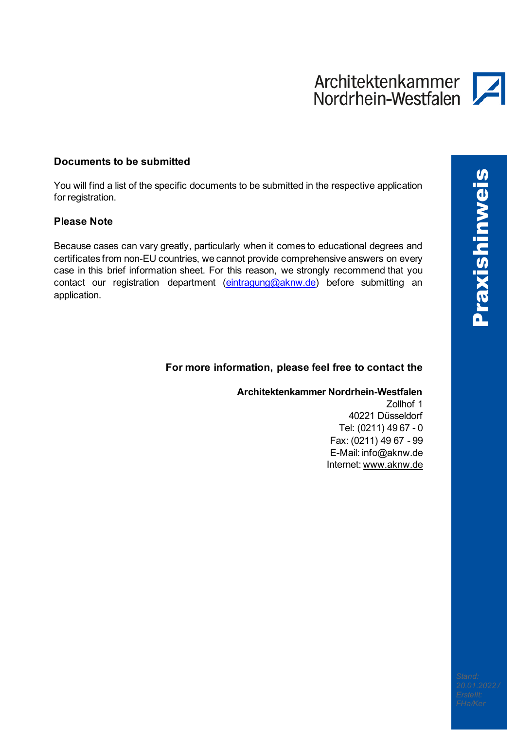#### **Documents to be submitted**

You will find a list of the specific documents to be submitted in the respective application for registration.

#### **Please Note**

Because cases can vary greatly, particularly when it comes to educational degrees and certificates from non-EU countries, we cannot provide comprehensive answers on every case in this brief information sheet. For this reason, we strongly recommend that you contact our registration department [\(eintragung@aknw.de\)](mailto:eintragung@aknw.de) before submitting an application.

#### **For more information, please feel free to contact the**

**Architektenkammer Nordrhein-Westfalen**

Zollhof 1 40221 Düsseldorf Tel: (0211) 49 67 - 0 Fax: (0211) 49 67 - 99 E-Mail: [info@aknw.de](mailto:info@aknw.de) Internet: [www.aknw.de](http://www.aknw.de/)